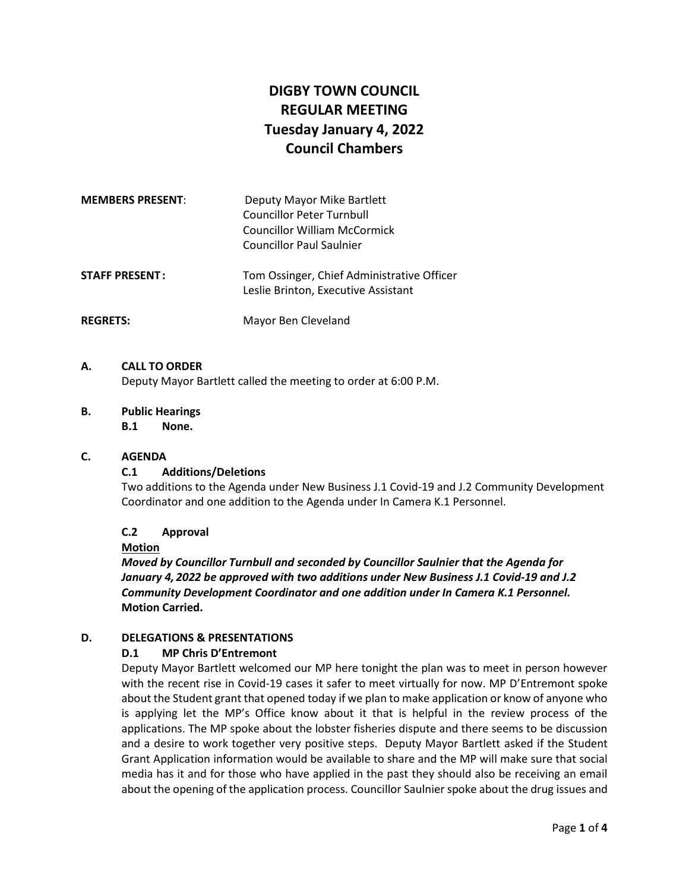# **DIGBY TOWN COUNCIL REGULAR MEETING Tuesday January 4, 2022 Council Chambers**

| <b>MEMBERS PRESENT:</b> | Deputy Mayor Mike Bartlett<br><b>Councillor Peter Turnbull</b><br>Councillor William McCormick<br><b>Councillor Paul Saulnier</b> |
|-------------------------|-----------------------------------------------------------------------------------------------------------------------------------|
| <b>STAFF PRESENT:</b>   | Tom Ossinger, Chief Administrative Officer<br>Leslie Brinton, Executive Assistant                                                 |
| <b>REGRETS:</b>         | Mayor Ben Cleveland                                                                                                               |

#### **A. CALL TO ORDER**

Deputy Mayor Bartlett called the meeting to order at 6:00 P.M.

#### **B. Public Hearings**

**B.1 None.**

#### **C. AGENDA**

#### **C.1 Additions/Deletions**

Two additions to the Agenda under New Business J.1 Covid-19 and J.2 Community Development Coordinator and one addition to the Agenda under In Camera K.1 Personnel.

## **C.2 Approval**

#### **Motion**

*Moved by Councillor Turnbull and seconded by Councillor Saulnier that the Agenda for January 4, 2022 be approved with two additions under New Business J.1 Covid-19 and J.2 Community Development Coordinator and one addition under In Camera K.1 Personnel.* **Motion Carried.**

#### **D. DELEGATIONS & PRESENTATIONS**

#### **D.1 MP Chris D'Entremont**

Deputy Mayor Bartlett welcomed our MP here tonight the plan was to meet in person however with the recent rise in Covid-19 cases it safer to meet virtually for now. MP D'Entremont spoke about the Student grant that opened today if we plan to make application or know of anyone who is applying let the MP's Office know about it that is helpful in the review process of the applications. The MP spoke about the lobster fisheries dispute and there seems to be discussion and a desire to work together very positive steps. Deputy Mayor Bartlett asked if the Student Grant Application information would be available to share and the MP will make sure that social media has it and for those who have applied in the past they should also be receiving an email about the opening of the application process. Councillor Saulnier spoke about the drug issues and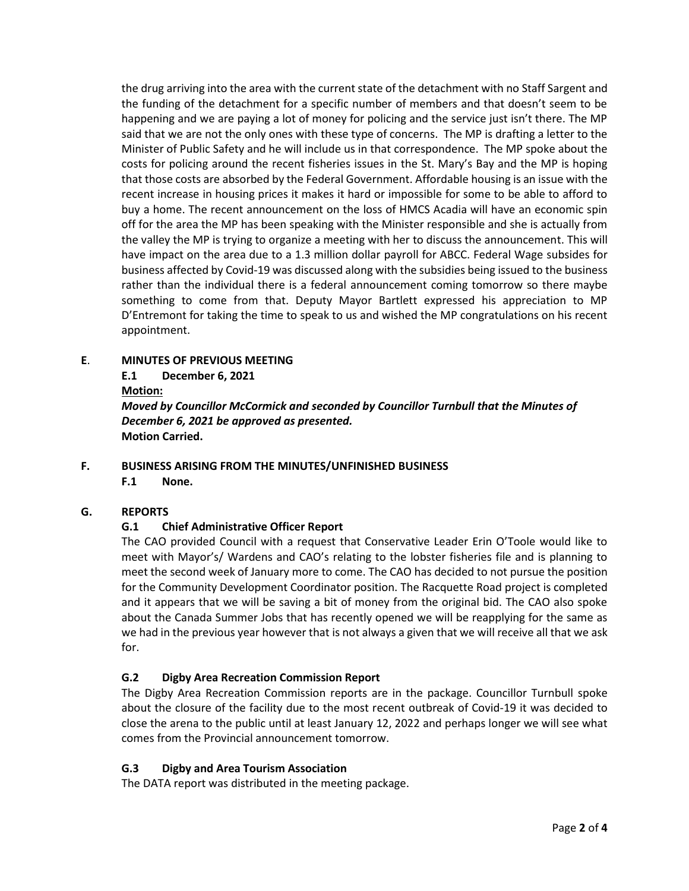the drug arriving into the area with the current state of the detachment with no Staff Sargent and the funding of the detachment for a specific number of members and that doesn't seem to be happening and we are paying a lot of money for policing and the service just isn't there. The MP said that we are not the only ones with these type of concerns. The MP is drafting a letter to the Minister of Public Safety and he will include us in that correspondence. The MP spoke about the costs for policing around the recent fisheries issues in the St. Mary's Bay and the MP is hoping that those costs are absorbed by the Federal Government. Affordable housing is an issue with the recent increase in housing prices it makes it hard or impossible for some to be able to afford to buy a home. The recent announcement on the loss of HMCS Acadia will have an economic spin off for the area the MP has been speaking with the Minister responsible and she is actually from the valley the MP is trying to organize a meeting with her to discuss the announcement. This will have impact on the area due to a 1.3 million dollar payroll for ABCC. Federal Wage subsides for business affected by Covid-19 was discussed along with the subsidies being issued to the business rather than the individual there is a federal announcement coming tomorrow so there maybe something to come from that. Deputy Mayor Bartlett expressed his appreciation to MP D'Entremont for taking the time to speak to us and wished the MP congratulations on his recent appointment.

- **E**. **MINUTES OF PREVIOUS MEETING**
	- **E.1 December 6, 2021**

**Motion:**

*Moved by Councillor McCormick and seconded by Councillor Turnbull that the Minutes of December 6, 2021 be approved as presented.* **Motion Carried.**

**F. BUSINESS ARISING FROM THE MINUTES/UNFINISHED BUSINESS**

**F.1 None.**

## **G. REPORTS**

# **G.1 Chief Administrative Officer Report**

The CAO provided Council with a request that Conservative Leader Erin O'Toole would like to meet with Mayor's/ Wardens and CAO's relating to the lobster fisheries file and is planning to meet the second week of January more to come. The CAO has decided to not pursue the position for the Community Development Coordinator position. The Racquette Road project is completed and it appears that we will be saving a bit of money from the original bid. The CAO also spoke about the Canada Summer Jobs that has recently opened we will be reapplying for the same as we had in the previous year however that is not always a given that we will receive all that we ask for.

# **G.2 Digby Area Recreation Commission Report**

The Digby Area Recreation Commission reports are in the package. Councillor Turnbull spoke about the closure of the facility due to the most recent outbreak of Covid-19 it was decided to close the arena to the public until at least January 12, 2022 and perhaps longer we will see what comes from the Provincial announcement tomorrow.

## **G.3 Digby and Area Tourism Association**

The DATA report was distributed in the meeting package.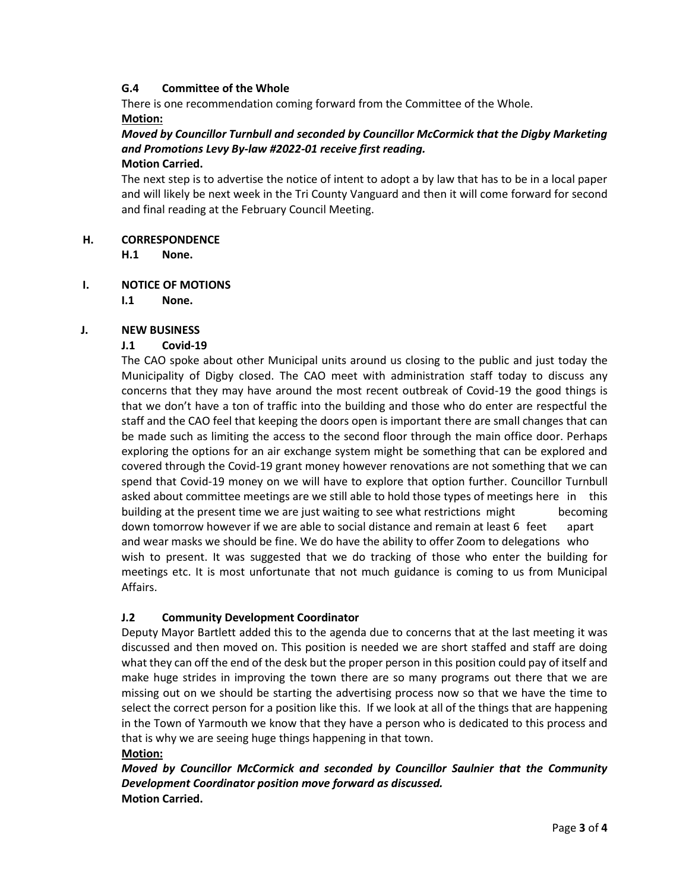## **G.4 Committee of the Whole**

There is one recommendation coming forward from the Committee of the Whole.

## **Motion:**

#### *Moved by Councillor Turnbull and seconded by Councillor McCormick that the Digby Marketing and Promotions Levy By-law #2022-01 receive first reading.*  **Motion Carried.**

The next step is to advertise the notice of intent to adopt a by law that has to be in a local paper and will likely be next week in the Tri County Vanguard and then it will come forward for second and final reading at the February Council Meeting.

## **H. CORRESPONDENCE**

**H.1 None.**

# **I. NOTICE OF MOTIONS**

**I.1 None.**

# **J. NEW BUSINESS**

# **J.1 Covid-19**

The CAO spoke about other Municipal units around us closing to the public and just today the Municipality of Digby closed. The CAO meet with administration staff today to discuss any concerns that they may have around the most recent outbreak of Covid-19 the good things is that we don't have a ton of traffic into the building and those who do enter are respectful the staff and the CAO feel that keeping the doors open is important there are small changes that can be made such as limiting the access to the second floor through the main office door. Perhaps exploring the options for an air exchange system might be something that can be explored and covered through the Covid-19 grant money however renovations are not something that we can spend that Covid-19 money on we will have to explore that option further. Councillor Turnbull asked about committee meetings are we still able to hold those types of meetings here in this building at the present time we are just waiting to see what restrictions might becoming down tomorrow however if we are able to social distance and remain at least 6 feet apart and wear masks we should be fine. We do have the ability to offer Zoom to delegations who wish to present. It was suggested that we do tracking of those who enter the building for meetings etc. It is most unfortunate that not much guidance is coming to us from Municipal Affairs.

# **J.2 Community Development Coordinator**

Deputy Mayor Bartlett added this to the agenda due to concerns that at the last meeting it was discussed and then moved on. This position is needed we are short staffed and staff are doing what they can off the end of the desk but the proper person in this position could pay of itself and make huge strides in improving the town there are so many programs out there that we are missing out on we should be starting the advertising process now so that we have the time to select the correct person for a position like this. If we look at all of the things that are happening in the Town of Yarmouth we know that they have a person who is dedicated to this process and that is why we are seeing huge things happening in that town.

## **Motion:**

*Moved by Councillor McCormick and seconded by Councillor Saulnier that the Community Development Coordinator position move forward as discussed.* **Motion Carried.**